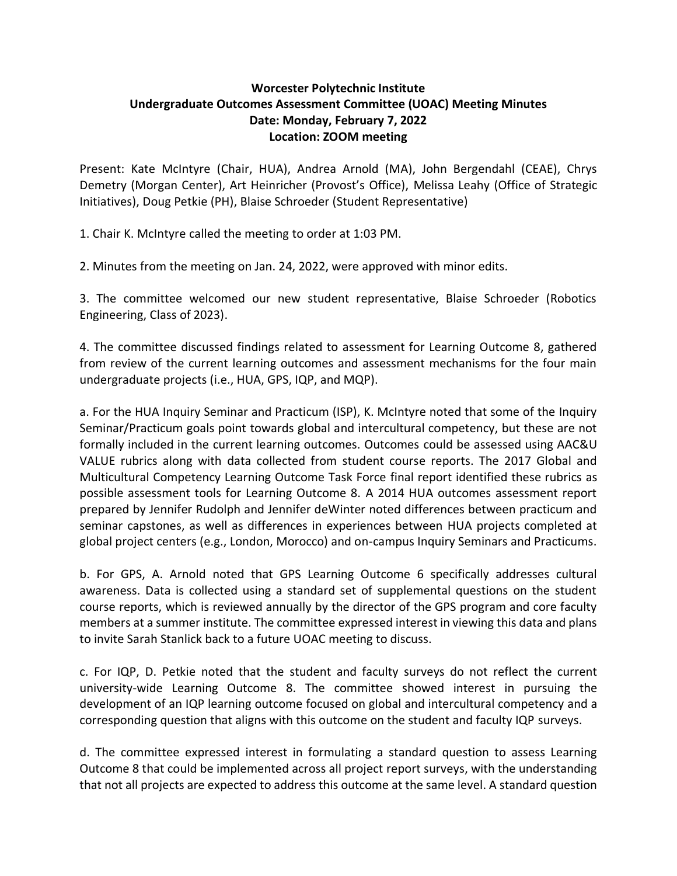## **Worcester Polytechnic Institute Undergraduate Outcomes Assessment Committee (UOAC) Meeting Minutes Date: Monday, February 7, 2022 Location: ZOOM meeting**

Present: Kate McIntyre (Chair, HUA), Andrea Arnold (MA), John Bergendahl (CEAE), Chrys Demetry (Morgan Center), Art Heinricher (Provost's Office), Melissa Leahy (Office of Strategic Initiatives), Doug Petkie (PH), Blaise Schroeder (Student Representative)

1. Chair K. McIntyre called the meeting to order at 1:03 PM.

2. Minutes from the meeting on Jan. 24, 2022, were approved with minor edits.

3. The committee welcomed our new student representative, Blaise Schroeder (Robotics Engineering, Class of 2023).

4. The committee discussed findings related to assessment for Learning Outcome 8, gathered from review of the current learning outcomes and assessment mechanisms for the four main undergraduate projects (i.e., HUA, GPS, IQP, and MQP).

a. For the HUA Inquiry Seminar and Practicum (ISP), K. McIntyre noted that some of the Inquiry Seminar/Practicum goals point towards global and intercultural competency, but these are not formally included in the current learning outcomes. Outcomes could be assessed using AAC&U VALUE rubrics along with data collected from student course reports. The 2017 Global and Multicultural Competency Learning Outcome Task Force final report identified these rubrics as possible assessment tools for Learning Outcome 8. A 2014 HUA outcomes assessment report prepared by Jennifer Rudolph and Jennifer deWinter noted differences between practicum and seminar capstones, as well as differences in experiences between HUA projects completed at global project centers (e.g., London, Morocco) and on-campus Inquiry Seminars and Practicums.

b. For GPS, A. Arnold noted that GPS Learning Outcome 6 specifically addresses cultural awareness. Data is collected using a standard set of supplemental questions on the student course reports, which is reviewed annually by the director of the GPS program and core faculty members at a summer institute. The committee expressed interest in viewing this data and plans to invite Sarah Stanlick back to a future UOAC meeting to discuss.

c. For IQP, D. Petkie noted that the student and faculty surveys do not reflect the current university-wide Learning Outcome 8. The committee showed interest in pursuing the development of an IQP learning outcome focused on global and intercultural competency and a corresponding question that aligns with this outcome on the student and faculty IQP surveys.

d. The committee expressed interest in formulating a standard question to assess Learning Outcome 8 that could be implemented across all project report surveys, with the understanding that not all projects are expected to address this outcome at the same level. A standard question